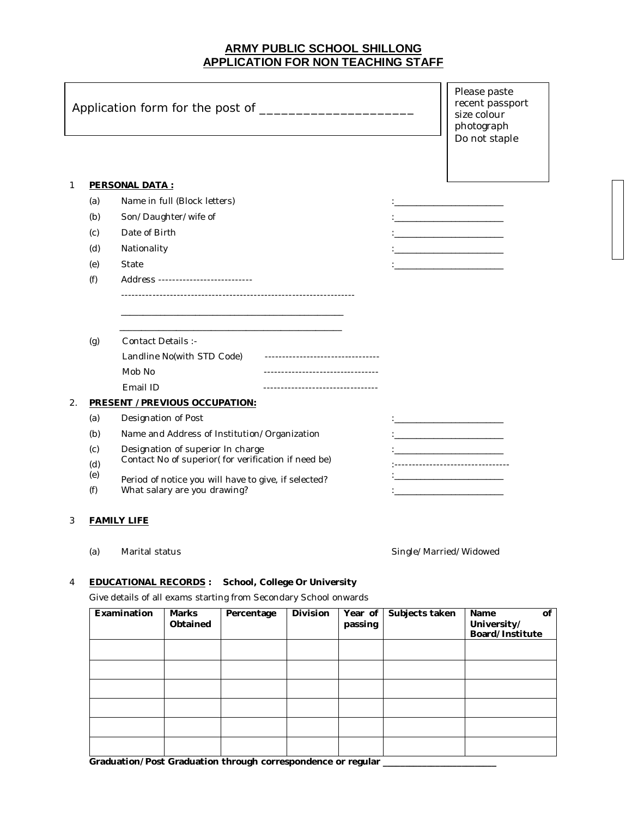## **ARMY PUBLIC SCHOOL SHILLONG APPLICATION FOR NON TEACHING STAFF**

|    |                                                                                                                                  |                       |                                                     | Please paste<br>recent passport<br>size colour<br>photograph<br>Do not staple |                                                                                                                      |                    |  |                                |  |  |  |  |
|----|----------------------------------------------------------------------------------------------------------------------------------|-----------------------|-----------------------------------------------------|-------------------------------------------------------------------------------|----------------------------------------------------------------------------------------------------------------------|--------------------|--|--------------------------------|--|--|--|--|
| 1  |                                                                                                                                  | <b>PERSONAL DATA:</b> |                                                     |                                                                               |                                                                                                                      |                    |  |                                |  |  |  |  |
|    | (a)                                                                                                                              |                       | Name in full (Block letters)                        |                                                                               |                                                                                                                      |                    |  |                                |  |  |  |  |
|    | (b)                                                                                                                              |                       | Son/Daughter/wife of                                |                                                                               | the control of the control of the control of                                                                         |                    |  |                                |  |  |  |  |
|    | (c)                                                                                                                              | Date of Birth         |                                                     |                                                                               |                                                                                                                      |                    |  |                                |  |  |  |  |
|    | (d)                                                                                                                              | Nationality           |                                                     |                                                                               | the control of the control of the control of                                                                         |                    |  |                                |  |  |  |  |
|    | (e)                                                                                                                              | State                 |                                                     |                                                                               |                                                                                                                      |                    |  |                                |  |  |  |  |
|    | (f)                                                                                                                              |                       | Address ---------------------------                 |                                                                               |                                                                                                                      |                    |  |                                |  |  |  |  |
|    |                                                                                                                                  |                       |                                                     |                                                                               |                                                                                                                      |                    |  |                                |  |  |  |  |
|    |                                                                                                                                  |                       |                                                     |                                                                               |                                                                                                                      |                    |  |                                |  |  |  |  |
|    |                                                                                                                                  |                       |                                                     |                                                                               |                                                                                                                      |                    |  |                                |  |  |  |  |
|    | (g)                                                                                                                              | Contact Details :-    |                                                     |                                                                               |                                                                                                                      |                    |  |                                |  |  |  |  |
|    |                                                                                                                                  |                       | Landline No(with STD Code)                          | ----------------------------------<br>---------------------------------       |                                                                                                                      |                    |  |                                |  |  |  |  |
|    |                                                                                                                                  | Mob No<br>Email ID    |                                                     | ----------------------------------                                            |                                                                                                                      |                    |  |                                |  |  |  |  |
| 2. |                                                                                                                                  |                       | <b>PRESENT /PREVIOUS OCCUPATION:</b>                |                                                                               |                                                                                                                      |                    |  |                                |  |  |  |  |
|    | (a)                                                                                                                              |                       | Designation of Post                                 |                                                                               | the control of the control of the control of the                                                                     |                    |  |                                |  |  |  |  |
|    | (b)                                                                                                                              |                       |                                                     | Name and Address of Institution/Organization                                  | <u> 1980 - Jan James James Jan James James Jan James James James James James James James James James James James</u> |                    |  |                                |  |  |  |  |
|    | (c)                                                                                                                              |                       | Designation of superior In charge                   | <u> 1989 - Johann Barbara, martin amerikan basa</u>                           |                                                                                                                      |                    |  |                                |  |  |  |  |
|    | (d)                                                                                                                              |                       | Contact No of superior(for verification if need be) | -------------------------------                                               |                                                                                                                      |                    |  |                                |  |  |  |  |
|    | (e)                                                                                                                              |                       |                                                     | Period of notice you will have to give, if selected?                          |                                                                                                                      |                    |  |                                |  |  |  |  |
|    | (f)                                                                                                                              |                       | What salary are you drawing?                        | <u> 1989 - Johann Barbara, martxa alemaniar a</u>                             |                                                                                                                      |                    |  |                                |  |  |  |  |
| 3  | <b>FAMILY LIFE</b>                                                                                                               |                       |                                                     |                                                                               |                                                                                                                      |                    |  |                                |  |  |  |  |
|    | (a)                                                                                                                              | Marital status        |                                                     | Single/Married/Widowed                                                        |                                                                                                                      |                    |  |                                |  |  |  |  |
| 4  | School, College Or University<br><b>EDUCATIONAL RECORDS:</b><br>Give details of all exams starting from Secondary School onwards |                       |                                                     |                                                                               |                                                                                                                      |                    |  |                                |  |  |  |  |
|    |                                                                                                                                  | Examination           | <b>Marks</b>                                        | Subjects taken                                                                | Name<br>οf                                                                                                           |                    |  |                                |  |  |  |  |
|    |                                                                                                                                  |                       | Obtained                                            | Percentage                                                                    | <b>Division</b>                                                                                                      | Year of<br>passing |  | University/<br>Board/Institute |  |  |  |  |
|    |                                                                                                                                  |                       |                                                     |                                                                               |                                                                                                                      |                    |  |                                |  |  |  |  |
|    |                                                                                                                                  |                       |                                                     |                                                                               |                                                                                                                      |                    |  |                                |  |  |  |  |
|    |                                                                                                                                  |                       |                                                     |                                                                               |                                                                                                                      |                    |  |                                |  |  |  |  |
|    |                                                                                                                                  |                       |                                                     |                                                                               |                                                                                                                      |                    |  |                                |  |  |  |  |

Graduation/Post Graduation through correspondence or regular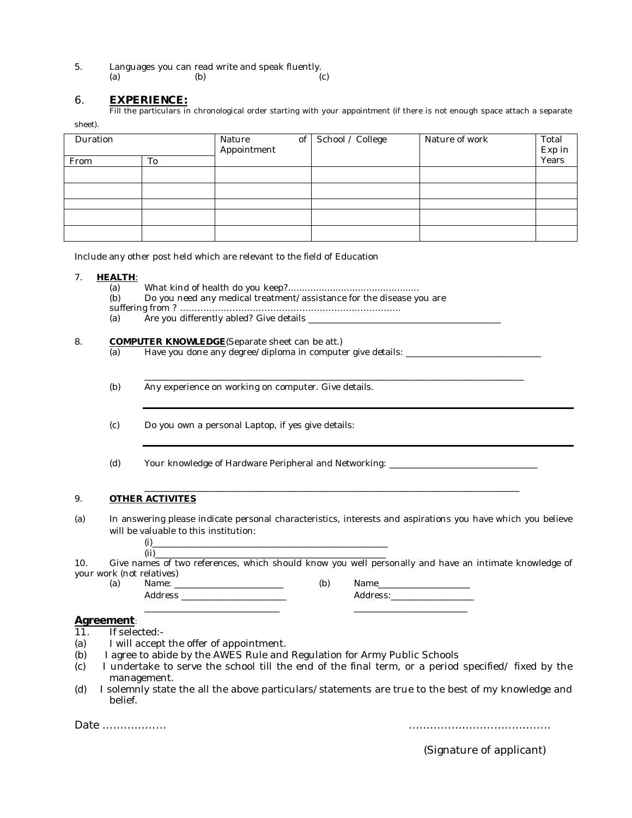5. Languages you can read write and speak fluently.<br>(a) (b) (a)  $(b)$  (c)

### 6. **EXPERIENCE:**

Fill the particulars in chronological order starting with your appointment (if there is not enough space attach a separate

sheet).

| Duration |    | Nature<br>of<br>Appointment | School / College | Nature of work | Total<br>Exp in |
|----------|----|-----------------------------|------------------|----------------|-----------------|
| From     | To |                             |                  |                | Years           |
|          |    |                             |                  |                |                 |
|          |    |                             |                  |                |                 |
|          |    |                             |                  |                |                 |
|          |    |                             |                  |                |                 |
|          |    |                             |                  |                |                 |

Include any other post held which are relevant to the field of Education

#### 7. **HEALTH**:

- 
- (a) What kind of health do you keep?............................................... Do you need any medical treatment/assistance for the disease you are

suffering from ? ………………………………………………………………….

(a) Are you differently abled? Give details \_\_\_\_\_\_\_\_\_\_\_\_\_\_\_\_\_\_\_\_\_\_\_\_\_\_\_\_\_\_\_\_\_\_\_\_\_\_\_\_\_\_\_\_

# 8. **COMPUTER KNOWLEDGE**(Separate sheet can be att.)<br>(a) Have you done any degree/diploma in compute

- Have you done any degree/diploma in computer give details: \_\_\_\_\_\_\_\_\_\_\_\_\_\_\_\_\_\_\_\_\_
- (b) Any experience on working on computer. Give details.
- (c) Do you own a personal Laptop, if yes give details:
- (d) Your knowledge of Hardware Peripheral and Networking:

### 9. **OTHER ACTIVITES**

(a) In answering please indicate personal characteristics, interests and aspirations you have which you believe will be valuable to this institution:

\_\_\_\_\_\_\_\_\_\_\_\_\_\_\_\_\_\_\_\_\_\_\_\_\_\_\_\_\_\_\_\_\_\_\_\_\_\_\_\_\_\_\_\_\_\_\_\_\_\_\_\_\_\_\_\_\_\_\_\_\_\_\_\_\_\_\_\_\_\_\_\_\_\_\_\_\_\_\_\_\_\_\_\_\_\_

\_\_\_\_\_\_\_\_\_\_\_\_\_\_\_\_\_\_\_\_\_\_\_\_\_\_\_\_\_\_\_\_\_\_\_\_\_\_\_\_\_\_\_\_\_\_\_\_\_\_\_\_\_\_\_\_\_\_\_\_\_\_\_\_\_\_\_\_\_\_\_\_\_\_\_\_\_\_\_\_\_\_\_\_\_\_\_

(i)\_\_\_\_\_\_\_\_\_\_\_\_\_\_\_\_\_\_\_\_\_\_\_\_\_\_\_\_\_\_\_\_\_\_\_\_\_\_\_\_\_\_\_\_\_\_\_\_\_\_\_\_\_\_

(ii)\_\_\_\_\_\_\_\_\_\_\_\_\_\_\_\_\_\_\_\_\_\_\_\_\_\_\_\_\_\_\_\_\_\_\_\_\_\_\_\_\_\_\_\_\_\_\_\_\_\_\_\_\_ 10. Give names of two references, which should know you well personally and have an intimate knowledge of your work (not relatives)<br>(a) Name:

\_\_\_\_\_\_\_\_\_\_\_\_\_\_\_\_\_\_\_\_\_\_\_\_\_\_\_\_\_\_\_ \_\_\_\_\_\_\_\_\_\_\_\_\_\_\_\_\_\_\_\_\_\_\_\_\_\_

Address \_\_\_\_\_\_\_\_\_\_\_\_\_\_\_\_\_\_\_\_\_\_\_\_ Address:\_\_\_\_\_\_\_\_\_\_\_\_\_\_\_\_\_\_\_

(a) Name: \_\_\_\_\_\_\_\_\_\_\_\_\_\_\_\_\_\_\_\_\_\_\_\_\_ (b) Name\_\_\_\_\_\_\_\_\_\_\_\_\_\_\_\_\_\_\_\_\_

Agreement:<br>11. If sele

- If selected:-
- (a) I will accept the offer of appointment.
- (b) I agree to abide by the AWES Rule and Regulation for Army Public Schools
- (c) I undertake to serve the school till the end of the final term, or a period specified/ fixed by the management.
- (d) I solemnly state the all the above particulars/statements are true to the best of my knowledge and belief.

Date ……………… ………………………………….

(Signature of applicant)